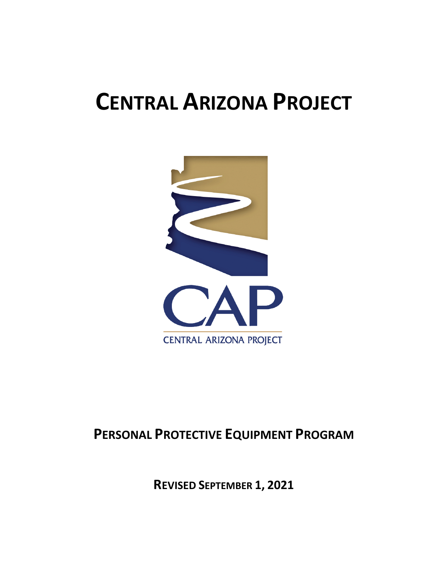# **CENTRAL ARIZONA PROJECT**



# **PERSONAL PROTECTIVE EQUIPMENT PROGRAM**

**REVISED SEPTEMBER 1, 2021**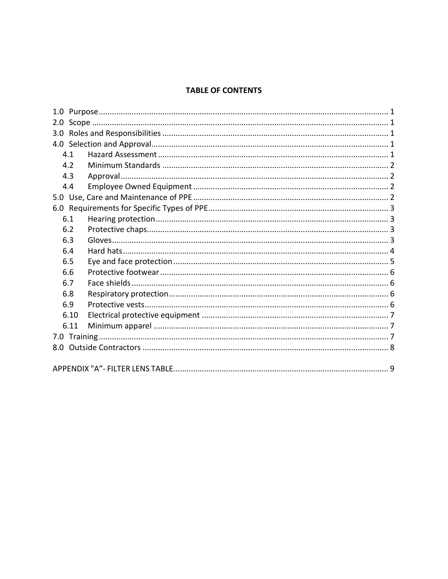#### **TABLE OF CONTENTS**

|  | 4.1  |  |  |  |  |  |  |  |
|--|------|--|--|--|--|--|--|--|
|  | 4.2  |  |  |  |  |  |  |  |
|  | 4.3  |  |  |  |  |  |  |  |
|  | 4.4  |  |  |  |  |  |  |  |
|  |      |  |  |  |  |  |  |  |
|  |      |  |  |  |  |  |  |  |
|  | 6.1  |  |  |  |  |  |  |  |
|  | 6.2  |  |  |  |  |  |  |  |
|  | 6.3  |  |  |  |  |  |  |  |
|  | 6.4  |  |  |  |  |  |  |  |
|  | 6.5  |  |  |  |  |  |  |  |
|  | 6.6  |  |  |  |  |  |  |  |
|  | 6.7  |  |  |  |  |  |  |  |
|  | 6.8  |  |  |  |  |  |  |  |
|  | 6.9  |  |  |  |  |  |  |  |
|  | 6.10 |  |  |  |  |  |  |  |
|  | 6.11 |  |  |  |  |  |  |  |
|  |      |  |  |  |  |  |  |  |
|  |      |  |  |  |  |  |  |  |
|  |      |  |  |  |  |  |  |  |
|  |      |  |  |  |  |  |  |  |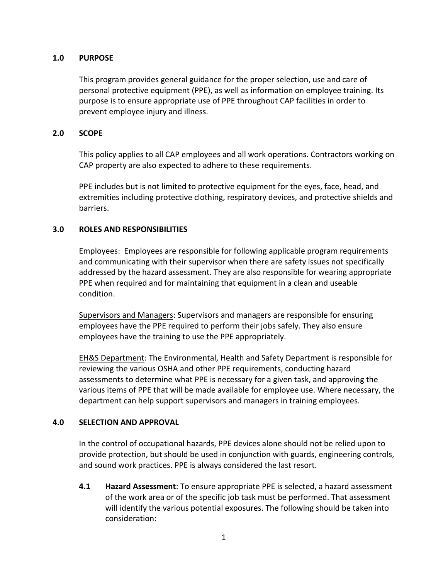#### **1.0 PURPOSE**

This program provides general guidance for the proper selection, use and care of personal protective equipment (PPE), as well as information on employee training. Its purpose is to ensure appropriate use of PPE throughout CAP facilities in order to prevent employee injury and illness.

#### **2.0 SCOPE**

This policy applies to all CAP employees and all work operations. Contractors working on CAP property are also expected to adhere to these requirements.

PPE includes but is not limited to protective equipment for the eyes, face, head, and extremities including protective clothing, respiratory devices, and protective shields and barriers.

#### **3.0 ROLES AND RESPONSIBILITIES**

Employees: Employees are responsible for following applicable program requirements and communicating with their supervisor when there are safety issues not specifically addressed by the hazard assessment. They are also responsible for wearing appropriate PPE when required and for maintaining that equipment in a clean and useable condition.

Supervisors and Managers: Supervisors and managers are responsible for ensuring employees have the PPE required to perform their jobs safely. They also ensure employees have the training to use the PPE appropriately.

EH&S Department: The Environmental, Health and Safety Department is responsible for reviewing the various OSHA and other PPE requirements, conducting hazard assessments to determine what PPE is necessary for a given task, and approving the various items of PPE that will be made available for employee use. Where necessary, the department can help support supervisors and managers in training employees.

#### **4.0 SELECTION AND APPROVAL**

In the control of occupational hazards, PPE devices alone should not be relied upon to provide protection, but should be used in conjunction with guards, engineering controls, and sound work practices. PPE is always considered the last resort.

**4.1 Hazard Assessment**: To ensure appropriate PPE is selected, a hazard assessment of the work area or of the specific job task must be performed. That assessment will identify the various potential exposures. The following should be taken into consideration: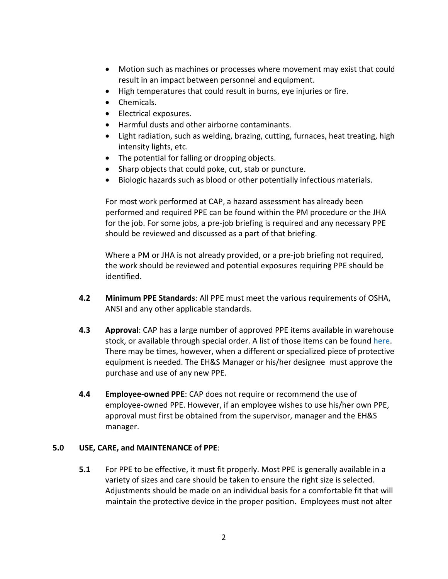- Motion such as machines or processes where movement may exist that could result in an impact between personnel and equipment.
- High temperatures that could result in burns, eye injuries or fire.
- Chemicals.
- Electrical exposures.
- Harmful dusts and other airborne contaminants.
- Light radiation, such as welding, brazing, cutting, furnaces, heat treating, high intensity lights, etc.
- The potential for falling or dropping objects.
- Sharp objects that could poke, cut, stab or puncture.
- Biologic hazards such as blood or other potentially infectious materials.

For most work performed at CAP, a hazard assessment has already been performed and required PPE can be found within the PM procedure or the JHA for the job. For some jobs, a pre-job briefing is required and any necessary PPE should be reviewed and discussed as a part of that briefing.

Where a PM or JHA is not already provided, or a pre-job briefing not required, the work should be reviewed and potential exposures requiring PPE should be identified.

- **4.2 Minimum PPE Standards**: All PPE must meet the various requirements of OSHA, ANSI and any other applicable standards.
- **4.3 Approval**: CAP has a large number of approved PPE items available in warehouse stock, or available through special order. A list of those items can be found [here.](http://gecko/livelink/llisapi.dll?func=ll&objId=19105931&objAction=browse&viewType=1) There may be times, however, when a different or specialized piece of protective equipment is needed. The EH&S Manager or his/her designee must approve the purchase and use of any new PPE.
- **4.4 Employee-owned PPE**: CAP does not require or recommend the use of employee-owned PPE. However, if an employee wishes to use his/her own PPE, approval must first be obtained from the supervisor, manager and the EH&S manager.

#### **5.0 USE, CARE, and MAINTENANCE of PPE**:

**5.1** For PPE to be effective, it must fit properly. Most PPE is generally available in a variety of sizes and care should be taken to ensure the right size is selected. Adjustments should be made on an individual basis for a comfortable fit that will maintain the protective device in the proper position. Employees must not alter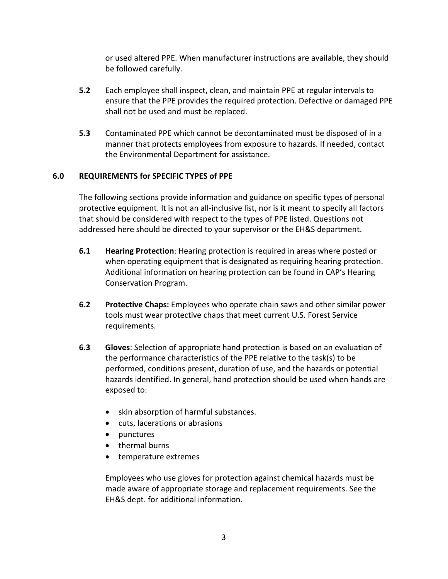or used altered PPE. When manufacturer instructions are available, they should be followed carefully.

- **5.2** Each employee shall inspect, clean, and maintain PPE at regular intervals to ensure that the PPE provides the required protection. Defective or damaged PPE shall not be used and must be replaced.
- **5.3** Contaminated PPE which cannot be decontaminated must be disposed of in a manner that protects employees from exposure to hazards. If needed, contact the Environmental Department for assistance.

#### **6.0 REQUIREMENTS for SPECIFIC TYPES of PPE**

The following sections provide information and guidance on specific types of personal protective equipment. It is not an all-inclusive list, nor is it meant to specify all factors that should be considered with respect to the types of PPE listed. Questions not addressed here should be directed to your supervisor or the EH&S department.

- **6.1 Hearing Protection**: Hearing protection is required in areas where posted or when operating equipment that is designated as requiring hearing protection. Additional information on hearing protection can be found in CAP's Hearing Conservation Program.
- **6.2 Protective Chaps:** Employees who operate chain saws and other similar power tools must wear protective chaps that meet current U.S. Forest Service requirements.
- **6.3 Gloves**: Selection of appropriate hand protection is based on an evaluation of the performance characteristics of the PPE relative to the task(s) to be performed, conditions present, duration of use, and the hazards or potential hazards identified. In general, hand protection should be used when hands are exposed to:
	- skin absorption of harmful substances.
	- cuts, lacerations or abrasions
	- punctures
	- thermal burns
	- temperature extremes

Employees who use gloves for protection against chemical hazards must be made aware of appropriate storage and replacement requirements. See the EH&S dept. for additional information.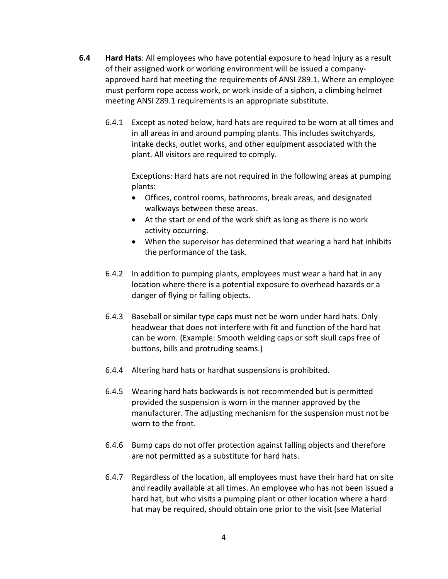- **6.4 Hard Hats**: All employees who have potential exposure to head injury as a result of their assigned work or working environment will be issued a companyapproved hard hat meeting the requirements of ANSI Z89.1. Where an employee must perform rope access work, or work inside of a siphon, a climbing helmet meeting ANSI Z89.1 requirements is an appropriate substitute.
	- 6.4.1 Except as noted below, hard hats are required to be worn at all times and in all areas in and around pumping plants. This includes switchyards, intake decks, outlet works, and other equipment associated with the plant. All visitors are required to comply.

Exceptions: Hard hats are not required in the following areas at pumping plants:

- Offices, control rooms, bathrooms, break areas, and designated walkways between these areas.
- At the start or end of the work shift as long as there is no work activity occurring.
- When the supervisor has determined that wearing a hard hat inhibits the performance of the task.
- 6.4.2 In addition to pumping plants, employees must wear a hard hat in any location where there is a potential exposure to overhead hazards or a danger of flying or falling objects.
- 6.4.3 Baseball or similar type caps must not be worn under hard hats. Only headwear that does not interfere with fit and function of the hard hat can be worn. (Example: Smooth welding caps or soft skull caps free of buttons, bills and protruding seams.)
- 6.4.4 Altering hard hats or hardhat suspensions is prohibited.
- 6.4.5 Wearing hard hats backwards is not recommended but is permitted provided the suspension is worn in the manner approved by the manufacturer. The adjusting mechanism for the suspension must not be worn to the front.
- 6.4.6 Bump caps do not offer protection against falling objects and therefore are not permitted as a substitute for hard hats.
- 6.4.7 Regardless of the location, all employees must have their hard hat on site and readily available at all times. An employee who has not been issued a hard hat, but who visits a pumping plant or other location where a hard hat may be required, should obtain one prior to the visit (see Material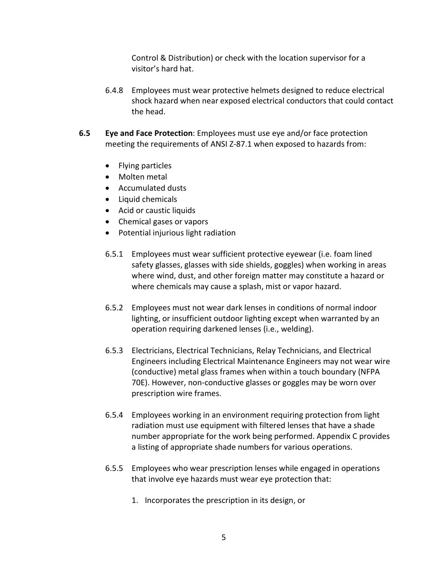Control & Distribution) or check with the location supervisor for a visitor's hard hat.

- 6.4.8 Employees must wear protective helmets designed to reduce electrical shock hazard when near exposed electrical conductors that could contact the head.
- **6.5 Eye and Face Protection**: Employees must use eye and/or face protection meeting the requirements of ANSI Z-87.1 when exposed to hazards from:
	- Flying particles
	- Molten metal
	- Accumulated dusts
	- Liquid chemicals
	- Acid or caustic liquids
	- Chemical gases or vapors
	- Potential injurious light radiation
	- 6.5.1 Employees must wear sufficient protective eyewear (i.e. foam lined safety glasses, glasses with side shields, goggles) when working in areas where wind, dust, and other foreign matter may constitute a hazard or where chemicals may cause a splash, mist or vapor hazard.
	- 6.5.2 Employees must not wear dark lenses in conditions of normal indoor lighting, or insufficient outdoor lighting except when warranted by an operation requiring darkened lenses (i.e., welding).
	- 6.5.3 Electricians, Electrical Technicians, Relay Technicians, and Electrical Engineers including Electrical Maintenance Engineers may not wear wire (conductive) metal glass frames when within a touch boundary (NFPA 70E). However, non-conductive glasses or goggles may be worn over prescription wire frames.
	- 6.5.4 Employees working in an environment requiring protection from light radiation must use equipment with filtered lenses that have a shade number appropriate for the work being performed. Appendix C provides a listing of appropriate shade numbers for various operations.
	- 6.5.5 Employees who wear prescription lenses while engaged in operations that involve eye hazards must wear eye protection that:
		- 1. Incorporates the prescription in its design, or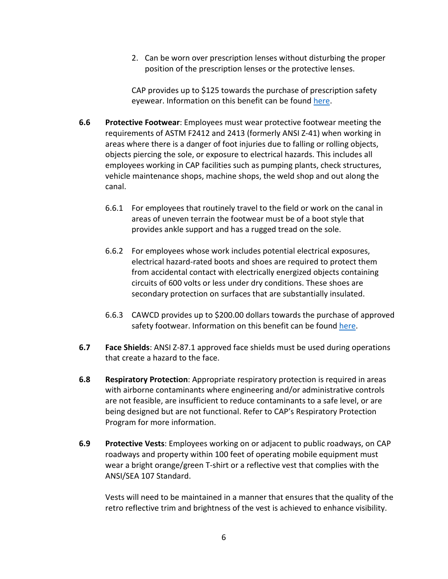2. Can be worn over prescription lenses without disturbing the proper position of the prescription lenses or the protective lenses.

CAP provides up to \$125 towards the purchase of prescription safety eyewear. Information on this benefit can be found [here.](https://capaz.topdesk.net/tas/public/ssp/content/detail/service?unid=c0f2438674f141c9af3560c27915debd&from=1387f8d4-e506-445e-ba47-3ba7091cbd9a)

- **6.6 Protective Footwear**: Employees must wear protective footwear meeting the requirements of ASTM F2412 and 2413 (formerly ANSI Z-41) when working in areas where there is a danger of foot injuries due to falling or rolling objects, objects piercing the sole, or exposure to electrical hazards. This includes all employees working in CAP facilities such as pumping plants, check structures, vehicle maintenance shops, machine shops, the weld shop and out along the canal.
	- 6.6.1 For employees that routinely travel to the field or work on the canal in areas of uneven terrain the footwear must be of a boot style that provides ankle support and has a rugged tread on the sole.
	- 6.6.2 For employees whose work includes potential electrical exposures, electrical hazard-rated boots and shoes are required to protect them from accidental contact with electrically energized objects containing circuits of 600 volts or less under dry conditions. These shoes are secondary protection on surfaces that are substantially insulated.
	- 6.6.3 CAWCD provides up to \$200.00 dollars towards the purchase of approved safety footwear. Information on this benefit can be foun[d here.](https://capaz.topdesk.net/tas/public/ssp/content/detail/service?unid=c0f2438674f141c9af3560c27915debd&from=1387f8d4-e506-445e-ba47-3ba7091cbd9a)
- **6.7 Face Shields**: ANSI Z-87.1 approved face shields must be used during operations that create a hazard to the face.
- **6.8 Respiratory Protection**: Appropriate respiratory protection is required in areas with airborne contaminants where engineering and/or administrative controls are not feasible, are insufficient to reduce contaminants to a safe level, or are being designed but are not functional. Refer to CAP's Respiratory Protection Program for more information.
- **6.9 Protective Vests**: Employees working on or adjacent to public roadways, on CAP roadways and property within 100 feet of operating mobile equipment must wear a bright orange/green T-shirt or a reflective vest that complies with the ANSI/SEA 107 Standard.

Vests will need to be maintained in a manner that ensures that the quality of the retro reflective trim and brightness of the vest is achieved to enhance visibility.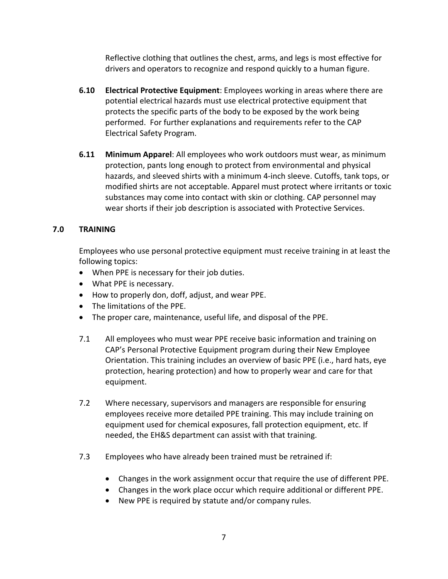Reflective clothing that outlines the chest, arms, and legs is most effective for drivers and operators to recognize and respond quickly to a human figure.

- **6.10 Electrical Protective Equipment**: Employees working in areas where there are potential electrical hazards must use electrical protective equipment that protects the specific parts of the body to be exposed by the work being performed. For further explanations and requirements refer to the CAP Electrical Safety Program.
- **6.11 Minimum Apparel**: All employees who work outdoors must wear, as minimum protection, pants long enough to protect from environmental and physical hazards, and sleeved shirts with a minimum 4-inch sleeve. Cutoffs, tank tops, or modified shirts are not acceptable. Apparel must protect where irritants or toxic substances may come into contact with skin or clothing. CAP personnel may wear shorts if their job description is associated with Protective Services.

#### **7.0 TRAINING**

Employees who use personal protective equipment must receive training in at least the following topics:

- When PPE is necessary for their job duties.
- What PPE is necessary.
- How to properly don, doff, adjust, and wear PPE.
- The limitations of the PPE.
- The proper care, maintenance, useful life, and disposal of the PPE.
- 7.1 All employees who must wear PPE receive basic information and training on CAP's Personal Protective Equipment program during their New Employee Orientation. This training includes an overview of basic PPE (i.e., hard hats, eye protection, hearing protection) and how to properly wear and care for that equipment.
- 7.2 Where necessary, supervisors and managers are responsible for ensuring employees receive more detailed PPE training. This may include training on equipment used for chemical exposures, fall protection equipment, etc. If needed, the EH&S department can assist with that training.
- 7.3 Employees who have already been trained must be retrained if:
	- Changes in the work assignment occur that require the use of different PPE.
	- Changes in the work place occur which require additional or different PPE.
	- New PPE is required by statute and/or company rules.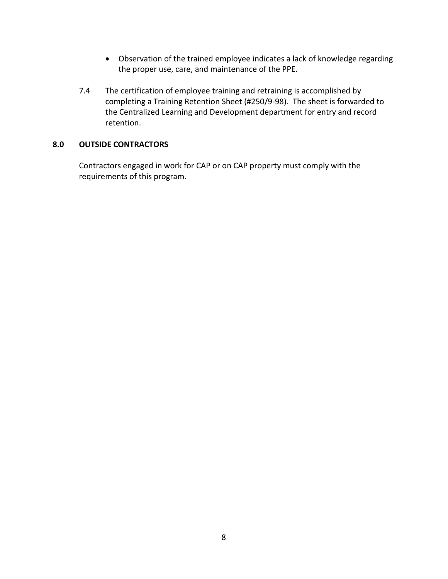- Observation of the trained employee indicates a lack of knowledge regarding the proper use, care, and maintenance of the PPE.
- 7.4 The certification of employee training and retraining is accomplished by completing a Training Retention Sheet (#250/9-98). The sheet is forwarded to the Centralized Learning and Development department for entry and record retention.

#### **8.0 OUTSIDE CONTRACTORS**

Contractors engaged in work for CAP or on CAP property must comply with the requirements of this program.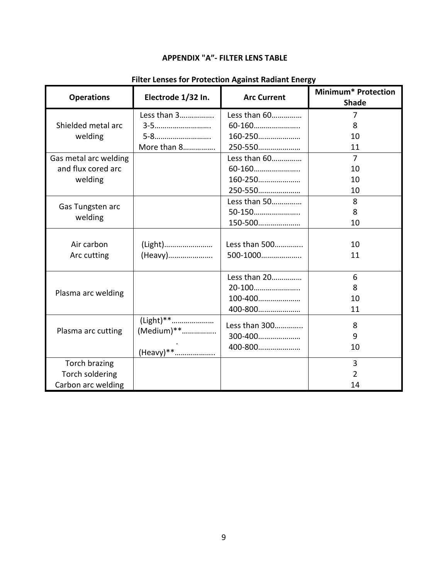## **APPENDIX "A"- FILTER LENS TABLE**

| <b>Operations</b>     | Electrode 1/32 In.       | <b>Arc Current</b> | <b>Minimum* Protection</b><br><b>Shade</b> |
|-----------------------|--------------------------|--------------------|--------------------------------------------|
|                       | Less than 3              | Less than 60       | 7                                          |
| Shielded metal arc    | 3-5                      | 60-160             | 8                                          |
| welding               | 5-8                      | 160-250            | 10                                         |
|                       | More than 8              | 250-550            | 11                                         |
| Gas metal arc welding |                          | Less than 60       | $\overline{7}$                             |
| and flux cored arc    |                          | 60-160             | 10                                         |
| welding               |                          | 160-250            | 10                                         |
|                       |                          | 250-550            | 10                                         |
|                       |                          | Less than 50       | 8                                          |
| Gas Tungsten arc      |                          | 50-150             | 8                                          |
| welding               |                          | 150-500            | 10                                         |
|                       |                          |                    |                                            |
| Air carbon            | (Light)                  | Less than 500      | 10                                         |
| Arc cutting           | (Heavy)                  | 500-1000           | 11                                         |
|                       |                          |                    |                                            |
|                       |                          | Less than 20       | 6                                          |
|                       |                          | 20-100             | 8                                          |
| Plasma arc welding    |                          | 100-400            | 10                                         |
|                       |                          | 400-800            | 11                                         |
|                       | (Light)**<br>(Medium) ** | Less than 300      | 8                                          |
| Plasma arc cutting    |                          | 300-400            | 9                                          |
|                       |                          | 400-800            | 10                                         |
|                       | (Heavy)**                |                    |                                            |
| Torch brazing         |                          |                    | 3                                          |
| Torch soldering       |                          |                    | $\overline{2}$                             |
| Carbon arc welding    |                          |                    | 14                                         |

## **Filter Lenses for Protection Against Radiant Energy**